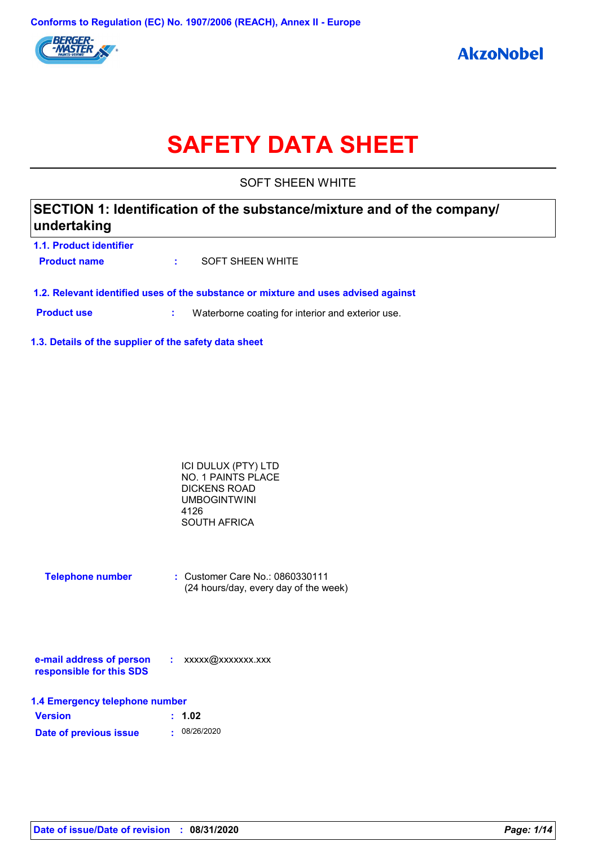

# **SAFETY DATA SHEET**

SOFT SHEEN WHITE

### **SECTION 1: Identification of the substance/mixture and of the company/ undertaking**

**1.1. Product identifier Product name :** SOFT SHEEN WHITE

**1.2. Relevant identified uses of the substance or mixture and uses advised against**

**Product use <b>:** Waterborne coating for interior and exterior use.

**1.3. Details of the supplier of the safety data sheet**

| ICI DULUX (PTY) LTD |  |
|---------------------|--|
| NO. 1 PAINTS PLACE  |  |
| DICKENS ROAD        |  |
| UMBOGINTWINI        |  |
| 4126                |  |
| SOUTH AFRICA        |  |

| <b>Telephone number</b> | : Customer Care No.: 0860330111       |
|-------------------------|---------------------------------------|
|                         | (24 hours/day, every day of the week) |

| e-mail address of person | xxxxx@xxxxxxx.xxx |
|--------------------------|-------------------|
| responsible for this SDS |                   |

| 1.4 Emergency telephone number |              |  |  |  |
|--------------------------------|--------------|--|--|--|
| <b>Version</b>                 | : 1.02       |  |  |  |
| Date of previous issue         | . 08/26/2020 |  |  |  |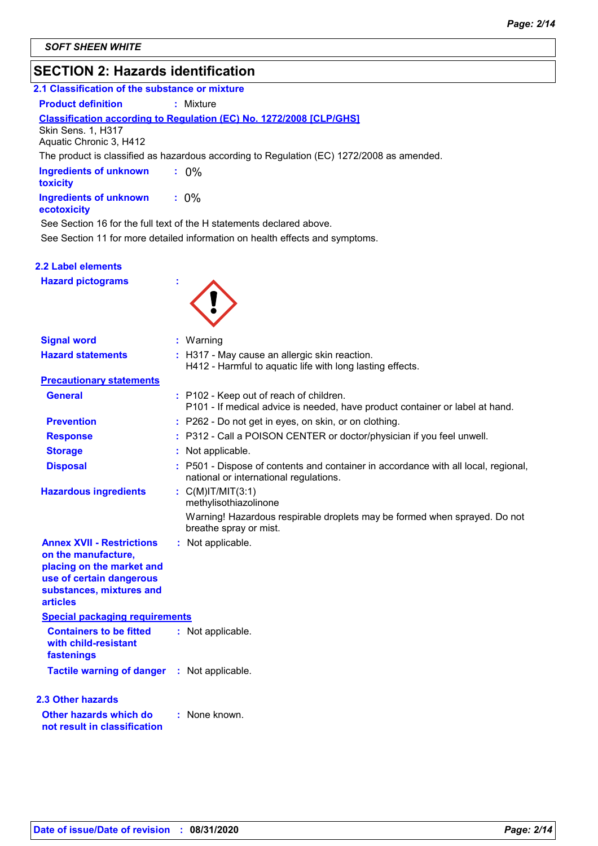### **SECTION 2: Hazards identification**

| 3LV HUN 4. Hazarus Iuthunuationi                                                          |  |  |  |  |
|-------------------------------------------------------------------------------------------|--|--|--|--|
| 2.1 Classification of the substance or mixture                                            |  |  |  |  |
| : Mixture                                                                                 |  |  |  |  |
| <b>Classification according to Regulation (EC) No. 1272/2008 [CLP/GHS]</b>                |  |  |  |  |
| The product is classified as hazardous according to Regulation (EC) 1272/2008 as amended. |  |  |  |  |
| $.0\%$                                                                                    |  |  |  |  |
| $: 0\%$                                                                                   |  |  |  |  |
| See Section 16 for the full text of the H statements declared above.                      |  |  |  |  |
| See Section 11 for more detailed information on health effects and symptoms.              |  |  |  |  |
|                                                                                           |  |  |  |  |

| 2.2 Label elements       |  |
|--------------------------|--|
| <b>Hazard pictograms</b> |  |

**Signal word :**

| Warning |
|---------|

| <b>Hazard statements</b>                                                                                                                                        | : H317 - May cause an allergic skin reaction.<br>H412 - Harmful to aquatic life with long lasting effects.                   |
|-----------------------------------------------------------------------------------------------------------------------------------------------------------------|------------------------------------------------------------------------------------------------------------------------------|
| <b>Precautionary statements</b>                                                                                                                                 |                                                                                                                              |
| <b>General</b>                                                                                                                                                  | : P102 - Keep out of reach of children.<br>P101 - If medical advice is needed, have product container or label at hand.      |
| <b>Prevention</b>                                                                                                                                               | : P262 - Do not get in eyes, on skin, or on clothing.                                                                        |
| <b>Response</b>                                                                                                                                                 | : P312 - Call a POISON CENTER or doctor/physician if you feel unwell.                                                        |
| <b>Storage</b>                                                                                                                                                  | Not applicable.                                                                                                              |
| <b>Disposal</b>                                                                                                                                                 | : P501 - Dispose of contents and container in accordance with all local, regional,<br>national or international regulations. |
| <b>Hazardous ingredients</b>                                                                                                                                    | : $C(M)IT/MIT(3:1)$<br>methylisothiazolinone                                                                                 |
|                                                                                                                                                                 | Warning! Hazardous respirable droplets may be formed when sprayed. Do not<br>breathe spray or mist.                          |
| <b>Annex XVII - Restrictions</b><br>on the manufacture,<br>placing on the market and<br>use of certain dangerous<br>substances, mixtures and<br><b>articles</b> | : Not applicable.                                                                                                            |
| <b>Special packaging requirements</b>                                                                                                                           |                                                                                                                              |
| <b>Containers to be fitted</b><br>with child-resistant<br>fastenings                                                                                            | : Not applicable.                                                                                                            |
| <b>Tactile warning of danger : Not applicable.</b>                                                                                                              |                                                                                                                              |
| <b>2.3 Other hazards</b>                                                                                                                                        |                                                                                                                              |
| Other hazards which do<br>not result in classification                                                                                                          | : None known.                                                                                                                |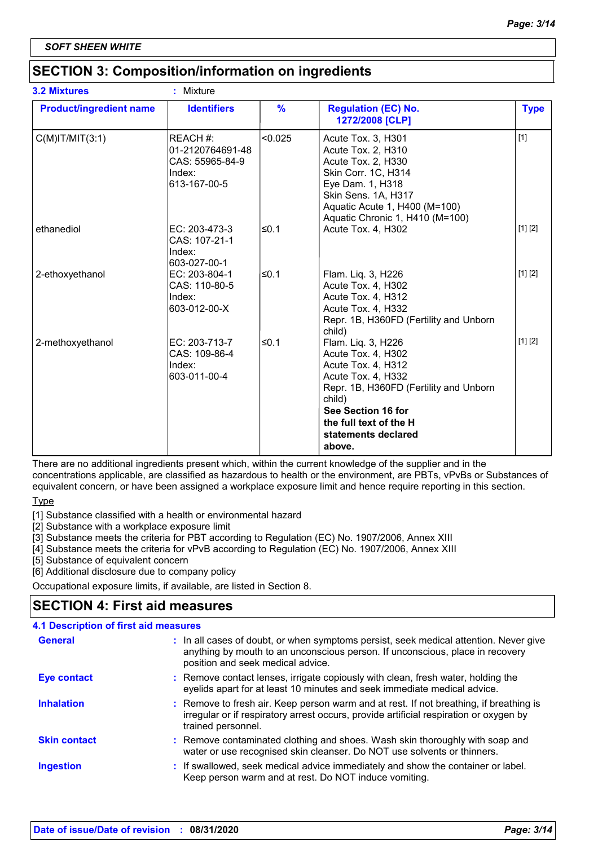### **SECTION 3: Composition/information on ingredients**

|                                | <b>Identifiers</b>                                                        |               |                                                                                                                                                                                                                           |             |
|--------------------------------|---------------------------------------------------------------------------|---------------|---------------------------------------------------------------------------------------------------------------------------------------------------------------------------------------------------------------------------|-------------|
| <b>Product/ingredient name</b> |                                                                           | $\frac{9}{6}$ | <b>Regulation (EC) No.</b><br>1272/2008 [CLP]                                                                                                                                                                             | <b>Type</b> |
| $C(M)$ IT/MIT $(3:1)$          | REACH #:<br>01-2120764691-48<br>CAS: 55965-84-9<br>Index:<br>613-167-00-5 | < 0.025       | Acute Tox. 3, H301<br>Acute Tox. 2, H310<br>Acute Tox. 2, H330<br>Skin Corr. 1C, H314<br>Eye Dam. 1, H318<br>Skin Sens. 1A, H317<br>Aquatic Acute 1, H400 (M=100)<br>Aquatic Chronic 1, H410 (M=100)                      | $[1]$       |
| ethanediol                     | EC: 203-473-3<br>CAS: 107-21-1<br>Index:<br>603-027-00-1                  | ≤0.1          | Acute Tox. 4, H302                                                                                                                                                                                                        | [1] [2]     |
| 2-ethoxyethanol                | EC: 203-804-1<br>CAS: 110-80-5<br>Index:<br>603-012-00-X                  | ≤0.1          | Flam. Liq. 3, H226<br>Acute Tox. 4, H302<br>Acute Tox. 4, H312<br>Acute Tox. 4, H332<br>Repr. 1B, H360FD (Fertility and Unborn<br>child)                                                                                  | [1] [2]     |
| 2-methoxyethanol               | EC: 203-713-7<br>CAS: 109-86-4<br>Index:<br>603-011-00-4                  | ≤0.1          | Flam. Liq. 3, H226<br>Acute Tox. 4, H302<br>Acute Tox. 4, H312<br>Acute Tox. 4, H332<br>Repr. 1B, H360FD (Fertility and Unborn<br>child)<br>See Section 16 for<br>the full text of the H<br>statements declared<br>above. | [1] [2]     |

There are no additional ingredients present which, within the current knowledge of the supplier and in the concentrations applicable, are classified as hazardous to health or the environment, are PBTs, vPvBs or Substances of equivalent concern, or have been assigned a workplace exposure limit and hence require reporting in this section.

Type

[1] Substance classified with a health or environmental hazard

[2] Substance with a workplace exposure limit

[3] Substance meets the criteria for PBT according to Regulation (EC) No. 1907/2006, Annex XIII

[4] Substance meets the criteria for vPvB according to Regulation (EC) No. 1907/2006, Annex XIII

[5] Substance of equivalent concern

[6] Additional disclosure due to company policy

Occupational exposure limits, if available, are listed in Section 8.

### **SECTION 4: First aid measures**

| <b>4.1 Description of first aid measures</b> |                                                                                                                                                                                                             |
|----------------------------------------------|-------------------------------------------------------------------------------------------------------------------------------------------------------------------------------------------------------------|
| <b>General</b>                               | : In all cases of doubt, or when symptoms persist, seek medical attention. Never give<br>anything by mouth to an unconscious person. If unconscious, place in recovery<br>position and seek medical advice. |
| <b>Eye contact</b>                           | : Remove contact lenses, irrigate copiously with clean, fresh water, holding the<br>eyelids apart for at least 10 minutes and seek immediate medical advice.                                                |
| <b>Inhalation</b>                            | : Remove to fresh air. Keep person warm and at rest. If not breathing, if breathing is<br>irregular or if respiratory arrest occurs, provide artificial respiration or oxygen by<br>trained personnel.      |
| <b>Skin contact</b>                          | : Remove contaminated clothing and shoes. Wash skin thoroughly with soap and<br>water or use recognised skin cleanser. Do NOT use solvents or thinners.                                                     |
| <b>Ingestion</b>                             | : If swallowed, seek medical advice immediately and show the container or label.<br>Keep person warm and at rest. Do NOT induce vomiting.                                                                   |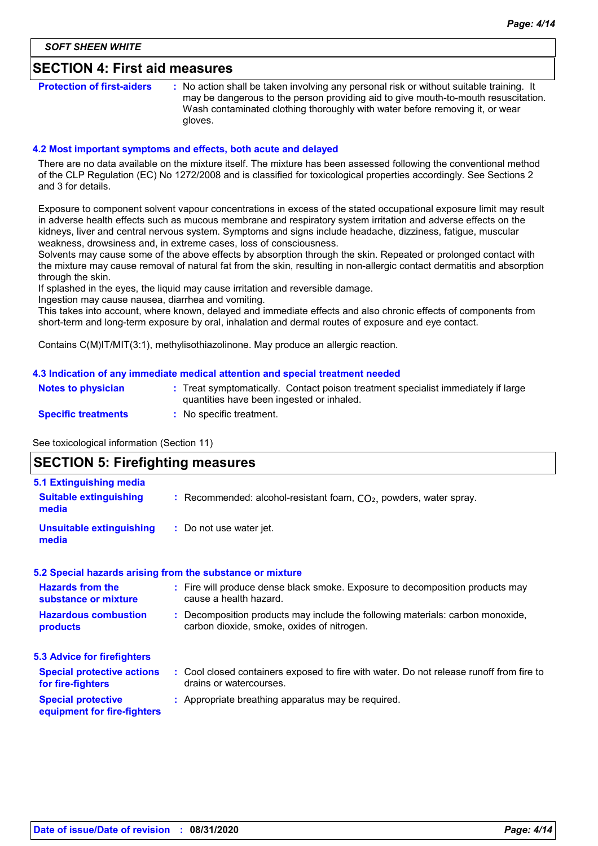### **SECTION 4: First aid measures**

**Protection of first-aiders** : No action shall be taken involving any personal risk or without suitable training. It may be dangerous to the person providing aid to give mouth-to-mouth resuscitation. Wash contaminated clothing thoroughly with water before removing it, or wear gloves.

#### **4.2 Most important symptoms and effects, both acute and delayed**

There are no data available on the mixture itself. The mixture has been assessed following the conventional method of the CLP Regulation (EC) No 1272/2008 and is classified for toxicological properties accordingly. See Sections 2 and 3 for details.

Exposure to component solvent vapour concentrations in excess of the stated occupational exposure limit may result in adverse health effects such as mucous membrane and respiratory system irritation and adverse effects on the kidneys, liver and central nervous system. Symptoms and signs include headache, dizziness, fatigue, muscular weakness, drowsiness and, in extreme cases, loss of consciousness.

Solvents may cause some of the above effects by absorption through the skin. Repeated or prolonged contact with the mixture may cause removal of natural fat from the skin, resulting in non-allergic contact dermatitis and absorption through the skin.

If splashed in the eyes, the liquid may cause irritation and reversible damage.

Ingestion may cause nausea, diarrhea and vomiting.

This takes into account, where known, delayed and immediate effects and also chronic effects of components from short-term and long-term exposure by oral, inhalation and dermal routes of exposure and eye contact.

Contains C(M)IT/MIT(3:1), methylisothiazolinone. May produce an allergic reaction.

#### **4.3 Indication of any immediate medical attention and special treatment needed**

| <b>Notes to physician</b>  | : Treat symptomatically. Contact poison treatment specialist immediately if large<br>quantities have been ingested or inhaled. |
|----------------------------|--------------------------------------------------------------------------------------------------------------------------------|
| <b>Specific treatments</b> | No specific treatment.                                                                                                         |

See toxicological information (Section 11)

### **SECTION 5: Firefighting measures**

| 5.1 Extinguishing media                                  |                                                                                                                              |
|----------------------------------------------------------|------------------------------------------------------------------------------------------------------------------------------|
| <b>Suitable extinguishing</b><br>media                   | : Recommended: alcohol-resistant foam, $CO2$ , powders, water spray.                                                         |
| <b>Unsuitable extinguishing</b><br>media                 | : Do not use water jet.                                                                                                      |
|                                                          | 5.2 Special hazards arising from the substance or mixture                                                                    |
| <b>Hazards from the</b><br>substance or mixture          | : Fire will produce dense black smoke. Exposure to decomposition products may<br>cause a health hazard.                      |
| <b>Hazardous combustion</b><br>products                  | : Decomposition products may include the following materials: carbon monoxide,<br>carbon dioxide, smoke, oxides of nitrogen. |
| <b>5.3 Advice for firefighters</b>                       |                                                                                                                              |
| <b>Special protective actions</b><br>for fire-fighters   | : Cool closed containers exposed to fire with water. Do not release runoff from fire to<br>drains or watercourses.           |
| <b>Special protective</b><br>equipment for fire-fighters | : Appropriate breathing apparatus may be required.                                                                           |
|                                                          |                                                                                                                              |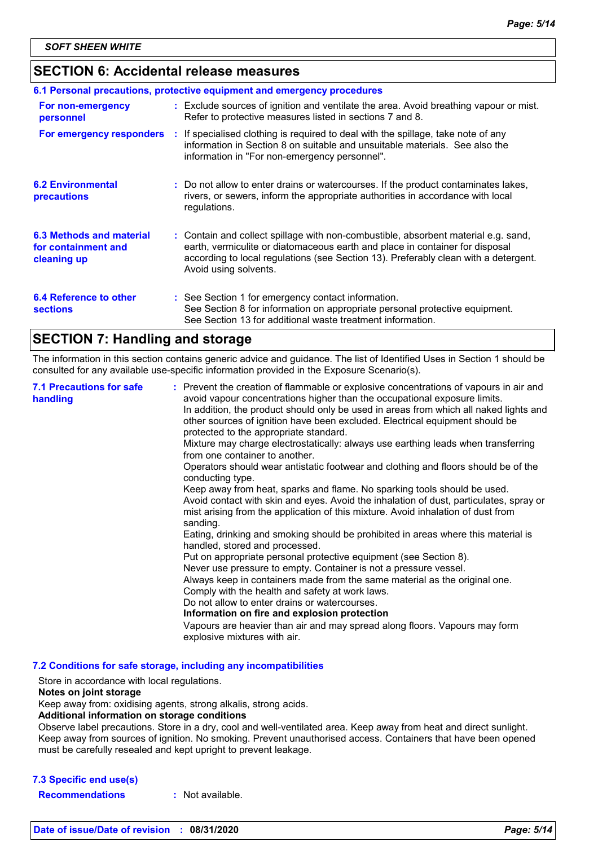### **SECTION 6: Accidental release measures**

|                                                                | 6.1 Personal precautions, protective equipment and emergency procedures                                                                                                                                                                                                            |
|----------------------------------------------------------------|------------------------------------------------------------------------------------------------------------------------------------------------------------------------------------------------------------------------------------------------------------------------------------|
| For non-emergency<br>personnel                                 | : Exclude sources of ignition and ventilate the area. Avoid breathing vapour or mist.<br>Refer to protective measures listed in sections 7 and 8.                                                                                                                                  |
| For emergency responders                                       | : If specialised clothing is required to deal with the spillage, take note of any<br>information in Section 8 on suitable and unsuitable materials. See also the<br>information in "For non-emergency personnel".                                                                  |
| <b>6.2 Environmental</b><br>precautions                        | : Do not allow to enter drains or watercourses. If the product contaminates lakes,<br>rivers, or sewers, inform the appropriate authorities in accordance with local<br>regulations.                                                                                               |
| 6.3 Methods and material<br>for containment and<br>cleaning up | : Contain and collect spillage with non-combustible, absorbent material e.g. sand,<br>earth, vermiculite or diatomaceous earth and place in container for disposal<br>according to local regulations (see Section 13). Preferably clean with a detergent.<br>Avoid using solvents. |
| 6.4 Reference to other<br><b>sections</b>                      | : See Section 1 for emergency contact information.<br>See Section 8 for information on appropriate personal protective equipment.<br>See Section 13 for additional waste treatment information.                                                                                    |

### **SECTION 7: Handling and storage**

The information in this section contains generic advice and guidance. The list of Identified Uses in Section 1 should be consulted for any available use-specific information provided in the Exposure Scenario(s).

| <b>7.1 Precautions for safe</b><br>handling | : Prevent the creation of flammable or explosive concentrations of vapours in air and<br>avoid vapour concentrations higher than the occupational exposure limits.<br>In addition, the product should only be used in areas from which all naked lights and<br>other sources of ignition have been excluded. Electrical equipment should be<br>protected to the appropriate standard.<br>Mixture may charge electrostatically: always use earthing leads when transferring<br>from one container to another.<br>Operators should wear antistatic footwear and clothing and floors should be of the<br>conducting type.<br>Keep away from heat, sparks and flame. No sparking tools should be used.<br>Avoid contact with skin and eyes. Avoid the inhalation of dust, particulates, spray or<br>mist arising from the application of this mixture. Avoid inhalation of dust from<br>sanding.<br>Eating, drinking and smoking should be prohibited in areas where this material is<br>handled, stored and processed.<br>Put on appropriate personal protective equipment (see Section 8).<br>Never use pressure to empty. Container is not a pressure vessel.<br>Always keep in containers made from the same material as the original one.<br>Comply with the health and safety at work laws.<br>Do not allow to enter drains or watercourses.<br>Information on fire and explosion protection<br>Vapours are heavier than air and may spread along floors. Vapours may form |
|---------------------------------------------|------------------------------------------------------------------------------------------------------------------------------------------------------------------------------------------------------------------------------------------------------------------------------------------------------------------------------------------------------------------------------------------------------------------------------------------------------------------------------------------------------------------------------------------------------------------------------------------------------------------------------------------------------------------------------------------------------------------------------------------------------------------------------------------------------------------------------------------------------------------------------------------------------------------------------------------------------------------------------------------------------------------------------------------------------------------------------------------------------------------------------------------------------------------------------------------------------------------------------------------------------------------------------------------------------------------------------------------------------------------------------------------------------------------------------------------------------------------------------|
|                                             | explosive mixtures with air.                                                                                                                                                                                                                                                                                                                                                                                                                                                                                                                                                                                                                                                                                                                                                                                                                                                                                                                                                                                                                                                                                                                                                                                                                                                                                                                                                                                                                                                 |

**7.2 Conditions for safe storage, including any incompatibilities**

Store in accordance with local regulations.

#### **Notes on joint storage**

Keep away from: oxidising agents, strong alkalis, strong acids.

**Additional information on storage conditions**

Observe label precautions. Store in a dry, cool and well-ventilated area. Keep away from heat and direct sunlight. Keep away from sources of ignition. No smoking. Prevent unauthorised access. Containers that have been opened must be carefully resealed and kept upright to prevent leakage.

#### **7.3 Specific end use(s)**

**Recommendations :** Not available.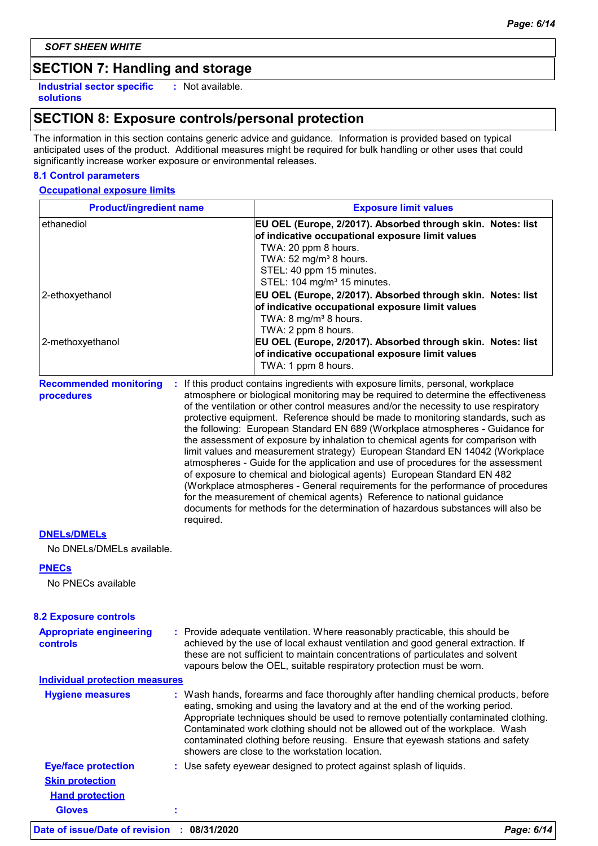*SOFT SHEEN WHITE*

### **SECTION 7: Handling and storage**

**Industrial sector specific : solutions**

: Not available.

### **SECTION 8: Exposure controls/personal protection**

The information in this section contains generic advice and guidance. Information is provided based on typical anticipated uses of the product. Additional measures might be required for bulk handling or other uses that could significantly increase worker exposure or environmental releases.

#### **8.1 Control parameters**

#### **Occupational exposure limits**

| <b>Product/ingredient name</b>                  |           | <b>Exposure limit values</b>                                                                                                                                                                                                                                                                                                                                                                                                                                                                                                                                                                                                                                                                                                                                                                                                                                                                                                                                                                                          |
|-------------------------------------------------|-----------|-----------------------------------------------------------------------------------------------------------------------------------------------------------------------------------------------------------------------------------------------------------------------------------------------------------------------------------------------------------------------------------------------------------------------------------------------------------------------------------------------------------------------------------------------------------------------------------------------------------------------------------------------------------------------------------------------------------------------------------------------------------------------------------------------------------------------------------------------------------------------------------------------------------------------------------------------------------------------------------------------------------------------|
| ethanediol                                      |           | EU OEL (Europe, 2/2017). Absorbed through skin. Notes: list<br>of indicative occupational exposure limit values<br>TWA: 20 ppm 8 hours.<br>TWA: 52 mg/m <sup>3</sup> 8 hours.<br>STEL: 40 ppm 15 minutes.<br>STEL: 104 mg/m <sup>3</sup> 15 minutes.                                                                                                                                                                                                                                                                                                                                                                                                                                                                                                                                                                                                                                                                                                                                                                  |
| 2-ethoxyethanol                                 |           | EU OEL (Europe, 2/2017). Absorbed through skin. Notes: list<br>of indicative occupational exposure limit values<br>TWA: 8 mg/m <sup>3</sup> 8 hours.<br>TWA: 2 ppm 8 hours.                                                                                                                                                                                                                                                                                                                                                                                                                                                                                                                                                                                                                                                                                                                                                                                                                                           |
| 2-methoxyethanol                                |           | EU OEL (Europe, 2/2017). Absorbed through skin. Notes: list<br>of indicative occupational exposure limit values<br>TWA: 1 ppm 8 hours.                                                                                                                                                                                                                                                                                                                                                                                                                                                                                                                                                                                                                                                                                                                                                                                                                                                                                |
| <b>Recommended monitoring</b><br>procedures     | required. | : If this product contains ingredients with exposure limits, personal, workplace<br>atmosphere or biological monitoring may be required to determine the effectiveness<br>of the ventilation or other control measures and/or the necessity to use respiratory<br>protective equipment. Reference should be made to monitoring standards, such as<br>the following: European Standard EN 689 (Workplace atmospheres - Guidance for<br>the assessment of exposure by inhalation to chemical agents for comparison with<br>limit values and measurement strategy) European Standard EN 14042 (Workplace<br>atmospheres - Guide for the application and use of procedures for the assessment<br>of exposure to chemical and biological agents) European Standard EN 482<br>(Workplace atmospheres - General requirements for the performance of procedures<br>for the measurement of chemical agents) Reference to national guidance<br>documents for methods for the determination of hazardous substances will also be |
| <b>DNELS/DMELS</b><br>No DNELs/DMELs available. |           |                                                                                                                                                                                                                                                                                                                                                                                                                                                                                                                                                                                                                                                                                                                                                                                                                                                                                                                                                                                                                       |
| <b>PNECs</b>                                    |           |                                                                                                                                                                                                                                                                                                                                                                                                                                                                                                                                                                                                                                                                                                                                                                                                                                                                                                                                                                                                                       |
| No PNECs available                              |           |                                                                                                                                                                                                                                                                                                                                                                                                                                                                                                                                                                                                                                                                                                                                                                                                                                                                                                                                                                                                                       |
| <b>8.2 Exposure controls</b>                    |           |                                                                                                                                                                                                                                                                                                                                                                                                                                                                                                                                                                                                                                                                                                                                                                                                                                                                                                                                                                                                                       |
| <b>Appropriate engineering</b><br>controls      |           | : Provide adequate ventilation. Where reasonably practicable, this should be<br>achieved by the use of local exhaust ventilation and good general extraction. If<br>these are not sufficient to maintain concentrations of particulates and solvent<br>vapours below the OEL, suitable respiratory protection must be worn.                                                                                                                                                                                                                                                                                                                                                                                                                                                                                                                                                                                                                                                                                           |
| <b>Individual protection measures</b>           |           |                                                                                                                                                                                                                                                                                                                                                                                                                                                                                                                                                                                                                                                                                                                                                                                                                                                                                                                                                                                                                       |
| <b>Hygiene measures</b>                         |           | : Wash hands, forearms and face thoroughly after handling chemical products, before<br>eating, smoking and using the lavatory and at the end of the working period.<br>Appropriate techniques should be used to remove potentially contaminated clothing.<br>Contaminated work clothing should not be allowed out of the workplace. Wash<br>contaminated clothing before reusing. Ensure that eyewash stations and safety<br>showers are close to the workstation location.                                                                                                                                                                                                                                                                                                                                                                                                                                                                                                                                           |
| <b>Eye/face protection</b>                      |           | : Use safety eyewear designed to protect against splash of liquids.                                                                                                                                                                                                                                                                                                                                                                                                                                                                                                                                                                                                                                                                                                                                                                                                                                                                                                                                                   |
| <b>Skin protection</b>                          |           |                                                                                                                                                                                                                                                                                                                                                                                                                                                                                                                                                                                                                                                                                                                                                                                                                                                                                                                                                                                                                       |

### **Date of issue/Date of revision : 08/31/2020** *Page: 6/14*

**Gloves :**

**Hand protection**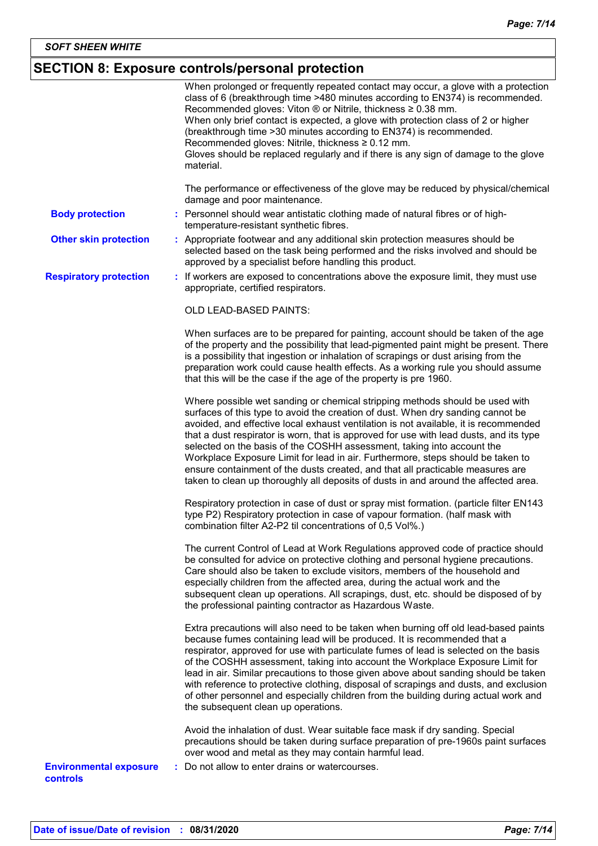### **SECTION 8: Exposure controls/personal protection**

|                                                  | When prolonged or frequently repeated contact may occur, a glove with a protection<br>class of 6 (breakthrough time >480 minutes according to EN374) is recommended.<br>Recommended gloves: Viton $\circledR$ or Nitrile, thickness $\geq 0.38$ mm.<br>When only brief contact is expected, a glove with protection class of 2 or higher<br>(breakthrough time > 30 minutes according to EN374) is recommended.<br>Recommended gloves: Nitrile, thickness ≥ 0.12 mm.<br>Gloves should be replaced regularly and if there is any sign of damage to the glove<br>material.                                                                                                                |
|--------------------------------------------------|-----------------------------------------------------------------------------------------------------------------------------------------------------------------------------------------------------------------------------------------------------------------------------------------------------------------------------------------------------------------------------------------------------------------------------------------------------------------------------------------------------------------------------------------------------------------------------------------------------------------------------------------------------------------------------------------|
|                                                  | The performance or effectiveness of the glove may be reduced by physical/chemical<br>damage and poor maintenance.                                                                                                                                                                                                                                                                                                                                                                                                                                                                                                                                                                       |
| <b>Body protection</b>                           | : Personnel should wear antistatic clothing made of natural fibres or of high-<br>temperature-resistant synthetic fibres.                                                                                                                                                                                                                                                                                                                                                                                                                                                                                                                                                               |
| <b>Other skin protection</b>                     | : Appropriate footwear and any additional skin protection measures should be<br>selected based on the task being performed and the risks involved and should be<br>approved by a specialist before handling this product.                                                                                                                                                                                                                                                                                                                                                                                                                                                               |
| <b>Respiratory protection</b>                    | : If workers are exposed to concentrations above the exposure limit, they must use<br>appropriate, certified respirators.                                                                                                                                                                                                                                                                                                                                                                                                                                                                                                                                                               |
|                                                  | OLD LEAD-BASED PAINTS:                                                                                                                                                                                                                                                                                                                                                                                                                                                                                                                                                                                                                                                                  |
|                                                  | When surfaces are to be prepared for painting, account should be taken of the age<br>of the property and the possibility that lead-pigmented paint might be present. There<br>is a possibility that ingestion or inhalation of scrapings or dust arising from the<br>preparation work could cause health effects. As a working rule you should assume<br>that this will be the case if the age of the property is pre 1960.                                                                                                                                                                                                                                                             |
|                                                  | Where possible wet sanding or chemical stripping methods should be used with<br>surfaces of this type to avoid the creation of dust. When dry sanding cannot be<br>avoided, and effective local exhaust ventilation is not available, it is recommended<br>that a dust respirator is worn, that is approved for use with lead dusts, and its type<br>selected on the basis of the COSHH assessment, taking into account the<br>Workplace Exposure Limit for lead in air. Furthermore, steps should be taken to<br>ensure containment of the dusts created, and that all practicable measures are<br>taken to clean up thoroughly all deposits of dusts in and around the affected area. |
|                                                  | Respiratory protection in case of dust or spray mist formation. (particle filter EN143<br>type P2) Respiratory protection in case of vapour formation. (half mask with<br>combination filter A2-P2 til concentrations of 0,5 Vol%.)                                                                                                                                                                                                                                                                                                                                                                                                                                                     |
|                                                  | The current Control of Lead at Work Regulations approved code of practice should<br>be consulted for advice on protective clothing and personal hygiene precautions.<br>Care should also be taken to exclude visitors, members of the household and<br>especially children from the affected area, during the actual work and the<br>subsequent clean up operations. All scrapings, dust, etc. should be disposed of by<br>the professional painting contractor as Hazardous Waste.                                                                                                                                                                                                     |
|                                                  | Extra precautions will also need to be taken when burning off old lead-based paints<br>because fumes containing lead will be produced. It is recommended that a<br>respirator, approved for use with particulate fumes of lead is selected on the basis<br>of the COSHH assessment, taking into account the Workplace Exposure Limit for<br>lead in air. Similar precautions to those given above about sanding should be taken<br>with reference to protective clothing, disposal of scrapings and dusts, and exclusion<br>of other personnel and especially children from the building during actual work and<br>the subsequent clean up operations.                                  |
|                                                  | Avoid the inhalation of dust. Wear suitable face mask if dry sanding. Special<br>precautions should be taken during surface preparation of pre-1960s paint surfaces<br>over wood and metal as they may contain harmful lead.                                                                                                                                                                                                                                                                                                                                                                                                                                                            |
| <b>Environmental exposure</b><br><b>controls</b> | : Do not allow to enter drains or watercourses.                                                                                                                                                                                                                                                                                                                                                                                                                                                                                                                                                                                                                                         |
|                                                  |                                                                                                                                                                                                                                                                                                                                                                                                                                                                                                                                                                                                                                                                                         |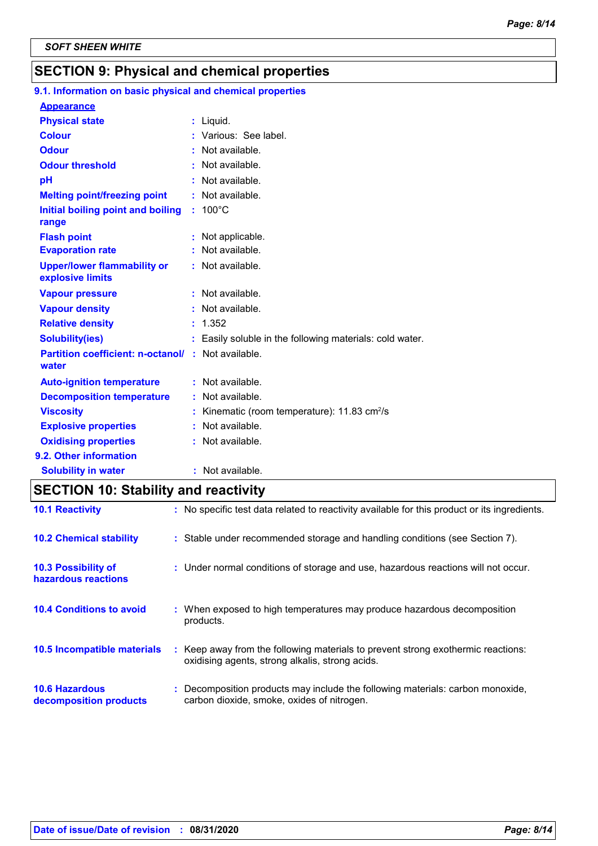### **SECTION 9: Physical and chemical properties**

### **9.1. Information on basic physical and chemical properties**

| <u>Appearance</u>                                                 |                                                          |
|-------------------------------------------------------------------|----------------------------------------------------------|
| <b>Physical state</b>                                             | $:$ Liquid.                                              |
| <b>Colour</b>                                                     | : Various: See label.                                    |
| <b>Odour</b>                                                      | : Not available.                                         |
| <b>Odour threshold</b>                                            | Not available.                                           |
| pH                                                                | : Not available.                                         |
| <b>Melting point/freezing point</b>                               | : Not available.                                         |
| Initial boiling point and boiling                                 | $: 100^{\circ}$ C                                        |
| range                                                             |                                                          |
| <b>Flash point</b>                                                | : Not applicable.                                        |
| <b>Evaporation rate</b>                                           | Not available.                                           |
| <b>Upper/lower flammability or</b><br>explosive limits            | : Not available.                                         |
| <b>Vapour pressure</b>                                            | : Not available.                                         |
| <b>Vapour density</b>                                             | : Not available.                                         |
| <b>Relative density</b>                                           | : 1.352                                                  |
| <b>Solubility(ies)</b>                                            | : Easily soluble in the following materials: cold water. |
| <b>Partition coefficient: n-octanol/: Not available.</b><br>water |                                                          |
| <b>Auto-ignition temperature</b>                                  | : Not available.                                         |
| <b>Decomposition temperature</b>                                  | Not available.                                           |
| <b>Viscosity</b>                                                  | Kinematic (room temperature): 11.83 cm <sup>2</sup> /s   |
| <b>Explosive properties</b>                                       | Not available.                                           |
| <b>Oxidising properties</b>                                       | : Not available.                                         |
| 9.2. Other information                                            |                                                          |
| <b>Solubility in water</b>                                        | : Not available.                                         |

### **SECTION 10: Stability and reactivity**

| <b>10.1 Reactivity</b>                            | : No specific test data related to reactivity available for this product or its ingredients.                                        |
|---------------------------------------------------|-------------------------------------------------------------------------------------------------------------------------------------|
| <b>10.2 Chemical stability</b>                    | : Stable under recommended storage and handling conditions (see Section 7).                                                         |
| <b>10.3 Possibility of</b><br>hazardous reactions | : Under normal conditions of storage and use, hazardous reactions will not occur.                                                   |
| <b>10.4 Conditions to avoid</b>                   | : When exposed to high temperatures may produce hazardous decomposition<br>products.                                                |
| <b>10.5 Incompatible materials</b>                | : Keep away from the following materials to prevent strong exothermic reactions:<br>oxidising agents, strong alkalis, strong acids. |
| <b>10.6 Hazardous</b><br>decomposition products   | : Decomposition products may include the following materials: carbon monoxide,<br>carbon dioxide, smoke, oxides of nitrogen.        |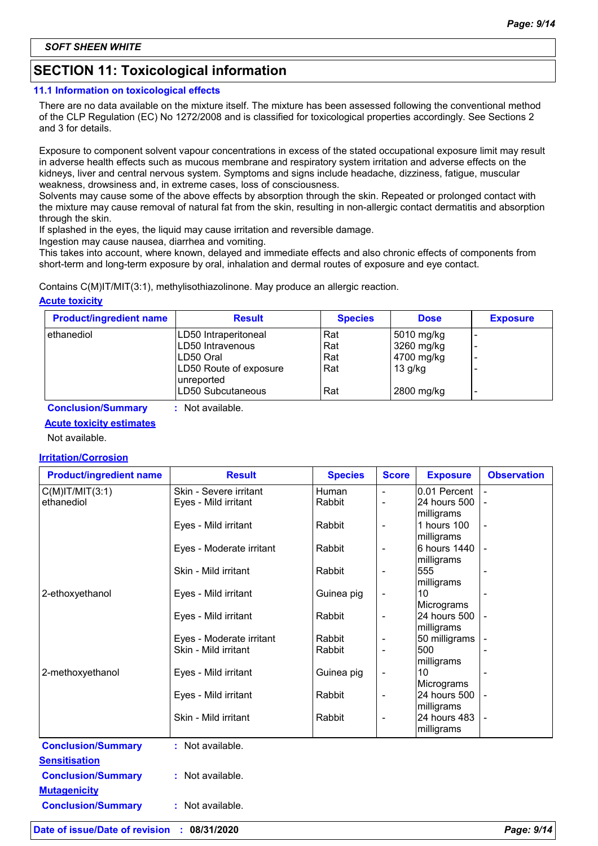### **SECTION 11: Toxicological information**

#### **11.1 Information on toxicological effects**

There are no data available on the mixture itself. The mixture has been assessed following the conventional method of the CLP Regulation (EC) No 1272/2008 and is classified for toxicological properties accordingly. See Sections 2 and 3 for details.

Exposure to component solvent vapour concentrations in excess of the stated occupational exposure limit may result in adverse health effects such as mucous membrane and respiratory system irritation and adverse effects on the kidneys, liver and central nervous system. Symptoms and signs include headache, dizziness, fatigue, muscular weakness, drowsiness and, in extreme cases, loss of consciousness.

Solvents may cause some of the above effects by absorption through the skin. Repeated or prolonged contact with the mixture may cause removal of natural fat from the skin, resulting in non-allergic contact dermatitis and absorption through the skin.

If splashed in the eyes, the liquid may cause irritation and reversible damage.

Ingestion may cause nausea, diarrhea and vomiting.

This takes into account, where known, delayed and immediate effects and also chronic effects of components from short-term and long-term exposure by oral, inhalation and dermal routes of exposure and eye contact.

Contains C(M)IT/MIT(3:1), methylisothiazolinone. May produce an allergic reaction.

#### **Acute toxicity**

| <b>Product/ingredient name</b> | <b>Result</b>                        | <b>Species</b> | <b>Dose</b> | <b>Exposure</b> |
|--------------------------------|--------------------------------------|----------------|-------------|-----------------|
| ethanediol                     | LD50 Intraperitoneal                 | Rat            | 5010 mg/kg  | -               |
|                                | LD50 Intravenous                     | l Rat          | 3260 mg/kg  | -               |
|                                | LD50 Oral                            | Rat            | 4700 mg/kg  | -               |
|                                | LD50 Route of exposure<br>unreported | Rat            | $13$ g/kg   |                 |
|                                | LD50 Subcutaneous                    | Rat            | 2800 mg/kg  | -               |

**Conclusion/Summary :** Not available.

#### **Acute toxicity estimates**

Not available.

#### **Irritation/Corrosion**

| <b>Product/ingredient name</b> | <b>Result</b>            | <b>Species</b> | <b>Score</b>             | <b>Exposure</b>            | <b>Observation</b> |
|--------------------------------|--------------------------|----------------|--------------------------|----------------------------|--------------------|
| $C(M)$ IT/MIT $(3:1)$          | Skin - Severe irritant   | <b>Human</b>   |                          | 0.01 Percent               |                    |
| ethanediol                     | Eyes - Mild irritant     | Rabbit         | $\overline{\phantom{0}}$ | 24 hours 500<br>milligrams |                    |
|                                | Eyes - Mild irritant     | Rabbit         | $\overline{\phantom{a}}$ | 1 hours 100<br>milligrams  |                    |
|                                | Eyes - Moderate irritant | Rabbit         | $\overline{\phantom{a}}$ | 6 hours 1440<br>milligrams |                    |
|                                | Skin - Mild irritant     | Rabbit         | $\overline{\phantom{a}}$ | 555<br>milligrams          |                    |
| 2-ethoxyethanol                | Eyes - Mild irritant     | Guinea pig     | $\overline{\phantom{a}}$ | 10<br>Micrograms           |                    |
|                                | Eyes - Mild irritant     | Rabbit         | $\overline{\phantom{a}}$ | 24 hours 500<br>milligrams |                    |
|                                | Eyes - Moderate irritant | Rabbit         |                          | 50 milligrams              |                    |
|                                | Skin - Mild irritant     | Rabbit         |                          | 500<br>milligrams          |                    |
| 2-methoxyethanol               | Eyes - Mild irritant     | Guinea pig     | $\overline{\phantom{a}}$ | 10<br>Micrograms           |                    |
|                                | Eyes - Mild irritant     | Rabbit         | $\overline{\phantom{a}}$ | 24 hours 500<br>milligrams |                    |
|                                | Skin - Mild irritant     | Rabbit         | $\overline{\phantom{a}}$ | 24 hours 483<br>milligrams |                    |
| <b>Conclusion/Summary</b>      | : Not available.         |                |                          |                            |                    |
| <b>Sensitisation</b>           |                          |                |                          |                            |                    |
| <b>Conclusion/Summary</b>      | : Not available.         |                |                          |                            |                    |
| <b>Mutagenicity</b>            |                          |                |                          |                            |                    |
| <b>Conclusion/Summary</b>      | : Not available.         |                |                          |                            |                    |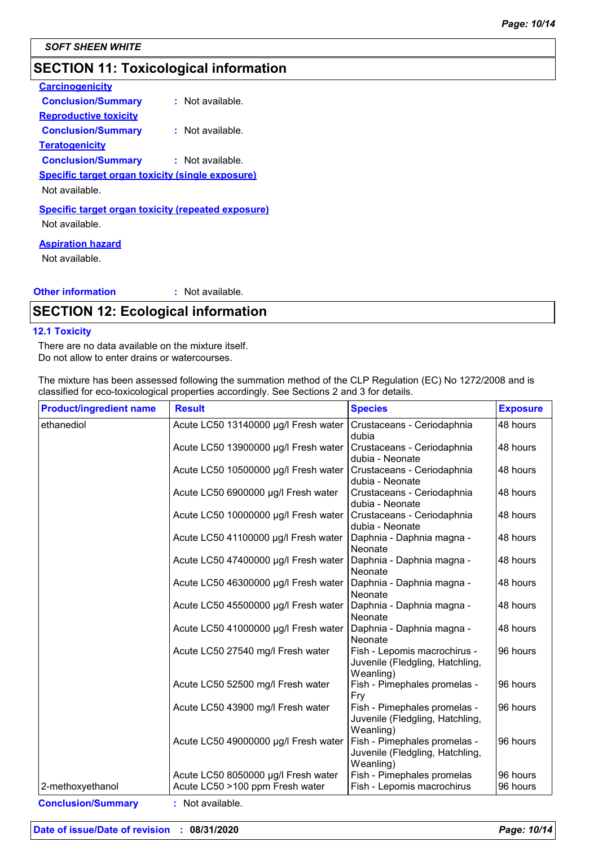### **SECTION 11: Toxicological information**

| <b>Carcinogenicity</b>                                    |                  |
|-----------------------------------------------------------|------------------|
| <b>Conclusion/Summary</b>                                 | : Not available. |
| <b>Reproductive toxicity</b>                              |                  |
| <b>Conclusion/Summary</b>                                 | : Not available. |
| <u>Teratogenicity</u>                                     |                  |
| <b>Conclusion/Summary</b>                                 | : Not available. |
| <b>Specific target organ toxicity (single exposure)</b>   |                  |
| Not available.                                            |                  |
| <u>Specific target organ toxicity (repeated exposure)</u> |                  |
| Not available.                                            |                  |
|                                                           |                  |

#### **Aspiration hazard**

Not available.

#### **Other information :** : Not available.

### **SECTION 12: Ecological information**

#### **12.1 Toxicity**

There are no data available on the mixture itself. Do not allow to enter drains or watercourses.

The mixture has been assessed following the summation method of the CLP Regulation (EC) No 1272/2008 and is classified for eco-toxicological properties accordingly. See Sections 2 and 3 for details.

| <b>Product/ingredient name</b> | <b>Result</b>                                                          | <b>Species</b>                                                               | <b>Exposure</b>      |
|--------------------------------|------------------------------------------------------------------------|------------------------------------------------------------------------------|----------------------|
| ethanediol                     | Acute LC50 13140000 µg/l Fresh water                                   | Crustaceans - Ceriodaphnia<br>dubia                                          | 48 hours             |
|                                | Acute LC50 13900000 µg/l Fresh water                                   | Crustaceans - Ceriodaphnia<br>dubia - Neonate                                | 48 hours             |
|                                | Acute LC50 10500000 µg/l Fresh water                                   | Crustaceans - Ceriodaphnia<br>dubia - Neonate                                | 48 hours             |
|                                | Acute LC50 6900000 µg/l Fresh water                                    | Crustaceans - Ceriodaphnia<br>dubia - Neonate                                | 48 hours             |
|                                | Acute LC50 10000000 µg/l Fresh water                                   | Crustaceans - Ceriodaphnia<br>dubia - Neonate                                | 48 hours             |
|                                | Acute LC50 41100000 µg/l Fresh water                                   | Daphnia - Daphnia magna -<br>Neonate                                         | 48 hours             |
|                                | Acute LC50 47400000 µg/l Fresh water                                   | Daphnia - Daphnia magna -<br>Neonate                                         | 48 hours             |
|                                | Acute LC50 46300000 µg/l Fresh water                                   | Daphnia - Daphnia magna -<br>Neonate                                         | 48 hours             |
|                                | Acute LC50 45500000 µg/l Fresh water                                   | Daphnia - Daphnia magna -<br>Neonate                                         | 48 hours             |
|                                | Acute LC50 41000000 µg/l Fresh water                                   | Daphnia - Daphnia magna -<br>Neonate                                         | 48 hours             |
|                                | Acute LC50 27540 mg/l Fresh water                                      | Fish - Lepomis macrochirus -<br>Juvenile (Fledgling, Hatchling,<br>Weanling) | 96 hours             |
|                                | Acute LC50 52500 mg/l Fresh water                                      | Fish - Pimephales promelas -<br>Fry                                          | 96 hours             |
|                                | Acute LC50 43900 mg/l Fresh water                                      | Fish - Pimephales promelas -<br>Juvenile (Fledgling, Hatchling,<br>Weanling) | 96 hours             |
|                                | Acute LC50 49000000 µg/l Fresh water                                   | Fish - Pimephales promelas -<br>Juvenile (Fledgling, Hatchling,<br>Weanling) | 96 hours             |
| 2-methoxyethanol               | Acute LC50 8050000 µg/l Fresh water<br>Acute LC50 >100 ppm Fresh water | Fish - Pimephales promelas<br>Fish - Lepomis macrochirus                     | 96 hours<br>96 hours |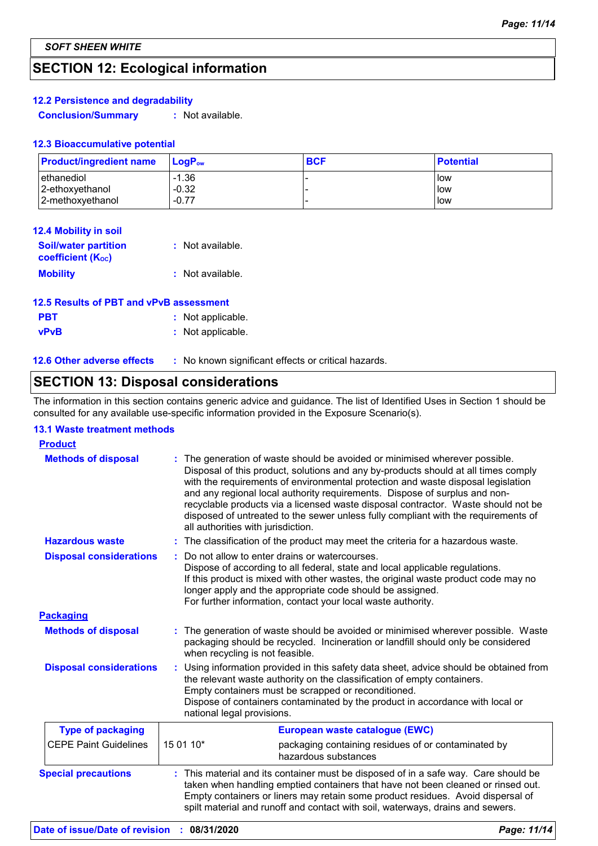### **SECTION 12: Ecological information**

#### **12.2 Persistence and degradability**

**Conclusion/Summary :** Not available.

#### **12.3 Bioaccumulative potential**

| <b>Product/ingredient name</b> | $LoaPow$ | <b>BCF</b> | <b>Potential</b> |
|--------------------------------|----------|------------|------------------|
| ethanediol                     | $-1.36$  |            | <b>low</b>       |
| 2-ethoxyethanol                | $-0.32$  |            | llow             |
| 2-methoxyethanol               | $-0.77$  |            | low              |

| 12.4 Mobility in soil                                   |                  |
|---------------------------------------------------------|------------------|
| <b>Soil/water partition</b><br><b>coefficient (Koc)</b> | : Not available. |
| <b>Mobility</b>                                         | : Not available. |

| 12.5 Results of PBT and vPvB assessment |                   |  |
|-----------------------------------------|-------------------|--|
| <b>PBT</b>                              | : Not applicable. |  |
| <b>vPvB</b>                             | : Not applicable. |  |

| <b>12.6 Other adverse effects</b> | No known significant effects or critical hazards. |
|-----------------------------------|---------------------------------------------------|
|-----------------------------------|---------------------------------------------------|

## **SECTION 13: Disposal considerations**

The information in this section contains generic advice and guidance. The list of Identified Uses in Section 1 should be consulted for any available use-specific information provided in the Exposure Scenario(s).

#### **13.1 Waste treatment methods**

| <b>Product</b>                 |                                                                                                                                                                                                                                                                                                                                                                                                                                                                                                                                                    |  |
|--------------------------------|----------------------------------------------------------------------------------------------------------------------------------------------------------------------------------------------------------------------------------------------------------------------------------------------------------------------------------------------------------------------------------------------------------------------------------------------------------------------------------------------------------------------------------------------------|--|
| <b>Methods of disposal</b>     | The generation of waste should be avoided or minimised wherever possible.<br>Disposal of this product, solutions and any by-products should at all times comply<br>with the requirements of environmental protection and waste disposal legislation<br>and any regional local authority requirements. Dispose of surplus and non-<br>recyclable products via a licensed waste disposal contractor. Waste should not be<br>disposed of untreated to the sewer unless fully compliant with the requirements of<br>all authorities with jurisdiction. |  |
| <b>Hazardous waste</b>         | : The classification of the product may meet the criteria for a hazardous waste.                                                                                                                                                                                                                                                                                                                                                                                                                                                                   |  |
| <b>Disposal considerations</b> | Do not allow to enter drains or watercourses.<br>Dispose of according to all federal, state and local applicable regulations.<br>If this product is mixed with other wastes, the original waste product code may no<br>longer apply and the appropriate code should be assigned.<br>For further information, contact your local waste authority.                                                                                                                                                                                                   |  |
| <b>Packaging</b>               |                                                                                                                                                                                                                                                                                                                                                                                                                                                                                                                                                    |  |
| <b>Methods of disposal</b>     | : The generation of waste should be avoided or minimised wherever possible. Waste<br>packaging should be recycled. Incineration or landfill should only be considered<br>when recycling is not feasible.                                                                                                                                                                                                                                                                                                                                           |  |
| <b>Disposal considerations</b> | Using information provided in this safety data sheet, advice should be obtained from<br>the relevant waste authority on the classification of empty containers.<br>Empty containers must be scrapped or reconditioned.<br>Dispose of containers contaminated by the product in accordance with local or<br>national legal provisions.                                                                                                                                                                                                              |  |
| <b>Type of packaging</b>       | European waste catalogue (EWC)                                                                                                                                                                                                                                                                                                                                                                                                                                                                                                                     |  |
| <b>CEPE Paint Guidelines</b>   | 15 01 10*<br>packaging containing residues of or contaminated by<br>hazardous substances                                                                                                                                                                                                                                                                                                                                                                                                                                                           |  |
| <b>Special precautions</b>     | : This material and its container must be disposed of in a safe way. Care should be<br>taken when handling emptied containers that have not been cleaned or rinsed out.<br>Empty containers or liners may retain some product residues. Avoid dispersal of<br>spilt material and runoff and contact with soil, waterways, drains and sewers.                                                                                                                                                                                                       |  |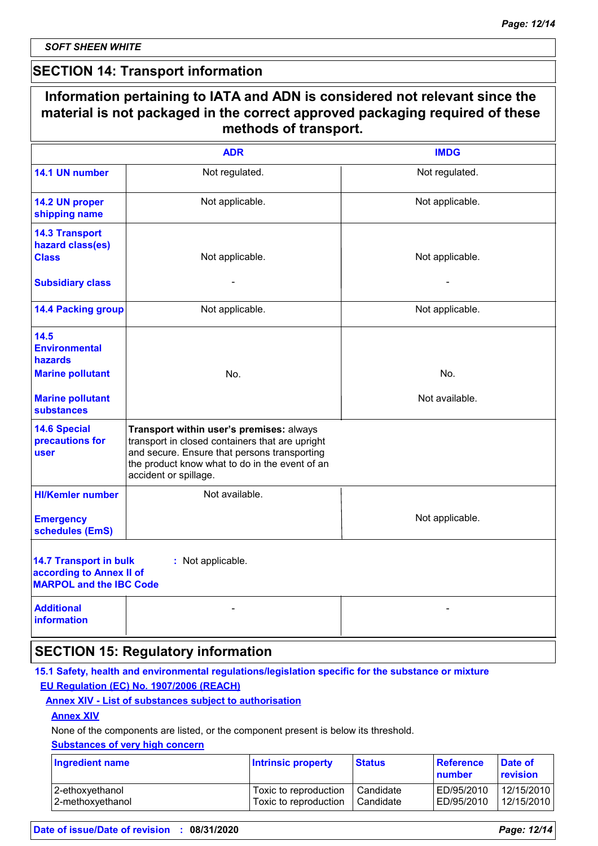*SOFT SHEEN WHITE*

### **SECTION 14: Transport information**

| Information pertaining to IATA and ADN is considered not relevant since the<br>material is not packaged in the correct approved packaging required of these<br>methods of transport. |                                                                                                                                                                                                                        |                       |
|--------------------------------------------------------------------------------------------------------------------------------------------------------------------------------------|------------------------------------------------------------------------------------------------------------------------------------------------------------------------------------------------------------------------|-----------------------|
|                                                                                                                                                                                      | <b>ADR</b>                                                                                                                                                                                                             | <b>IMDG</b>           |
| 14.1 UN number                                                                                                                                                                       | Not regulated.                                                                                                                                                                                                         | Not regulated.        |
| 14.2 UN proper<br>shipping name                                                                                                                                                      | Not applicable.                                                                                                                                                                                                        | Not applicable.       |
| <b>14.3 Transport</b><br>hazard class(es)<br><b>Class</b><br><b>Subsidiary class</b>                                                                                                 | Not applicable.                                                                                                                                                                                                        | Not applicable.       |
| <b>14.4 Packing group</b>                                                                                                                                                            | Not applicable.                                                                                                                                                                                                        | Not applicable.       |
| 14.5<br><b>Environmental</b><br>hazards<br><b>Marine pollutant</b><br><b>Marine pollutant</b><br><b>substances</b>                                                                   | No.                                                                                                                                                                                                                    | No.<br>Not available. |
| <b>14.6 Special</b><br>precautions for<br>user                                                                                                                                       | Transport within user's premises: always<br>transport in closed containers that are upright<br>and secure. Ensure that persons transporting<br>the product know what to do in the event of an<br>accident or spillage. |                       |
| <b>HI/Kemler number</b><br><b>Emergency</b><br>schedules (EmS)                                                                                                                       | Not available.                                                                                                                                                                                                         | Not applicable.       |
| <b>14.7 Transport in bulk</b><br>according to Annex II of<br><b>MARPOL and the IBC Code</b>                                                                                          | : Not applicable.                                                                                                                                                                                                      |                       |
| <b>Additional</b><br><b>information</b>                                                                                                                                              |                                                                                                                                                                                                                        |                       |
|                                                                                                                                                                                      | <b>SECTION 15: Regulatory information</b>                                                                                                                                                                              |                       |

#### **15.1 Safety, health and environmental regulations/legislation specific for the substance or mixture EU Regulation (EC) No. 1907/2006 (REACH)**

#### **Annex XIV - List of substances subject to authorisation**

#### **Annex XIV**

None of the components are listed, or the component present is below its threshold.

### **Substances of very high concern**

| <b>Ingredient name</b> | <b>Intrinsic property</b> | <b>Status</b> | <b>Reference</b><br>number | Date of<br>revision |
|------------------------|---------------------------|---------------|----------------------------|---------------------|
| 2-ethoxyethanol        | Toxic to reproduction     | Candidate     | ED/95/2010                 | 12/15/2010          |
| 2-methoxyethanol       | Toxic to reproduction     | Candidate     | ED/95/2010                 | 12/15/2010          |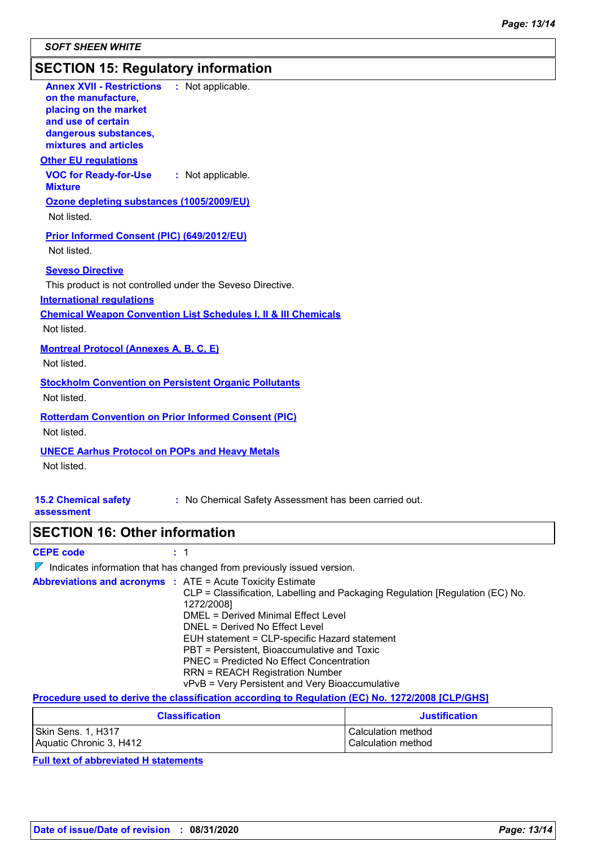### **SECTION 15: Regulatory information**

| <b>Annex XVII - Restrictions : Not applicable.</b><br>on the manufacture,<br>placing on the market<br>and use of certain<br>dangerous substances,<br>mixtures and articles |                                                                                                                                                                             |
|----------------------------------------------------------------------------------------------------------------------------------------------------------------------------|-----------------------------------------------------------------------------------------------------------------------------------------------------------------------------|
| <b>Other EU regulations</b><br><b>VOC for Ready-for-Use</b>                                                                                                                | : Not applicable.                                                                                                                                                           |
| <b>Mixture</b><br>Ozone depleting substances (1005/2009/EU)<br>Not listed.                                                                                                 |                                                                                                                                                                             |
| <b>Prior Informed Consent (PIC) (649/2012/EU)</b><br>Not listed.                                                                                                           |                                                                                                                                                                             |
| <b>Seveso Directive</b><br>This product is not controlled under the Seveso Directive.<br><b>International regulations</b><br>Not listed.                                   | <b>Chemical Weapon Convention List Schedules I, II &amp; III Chemicals</b>                                                                                                  |
| <b>Montreal Protocol (Annexes A, B, C, E)</b><br>Not listed.                                                                                                               |                                                                                                                                                                             |
| <b>Stockholm Convention on Persistent Organic Pollutants</b><br>Not listed.                                                                                                |                                                                                                                                                                             |
| <b>Rotterdam Convention on Prior Informed Consent (PIC)</b><br>Not listed.                                                                                                 |                                                                                                                                                                             |
| <b>UNECE Aarhus Protocol on POPs and Heavy Metals</b><br>Not listed.                                                                                                       |                                                                                                                                                                             |
| <b>15.2 Chemical safety</b><br>assessment                                                                                                                                  | : No Chemical Safety Assessment has been carried out.                                                                                                                       |
| <b>SECTION 16: Other information</b>                                                                                                                                       |                                                                                                                                                                             |
| <b>CEPE code</b>                                                                                                                                                           | : 1                                                                                                                                                                         |
|                                                                                                                                                                            | $\nabla$ Indicates information that has changed from previously issued version.                                                                                             |
| <b>Abbreviations and acronyms : ATE = Acute Toxicity Estimate</b>                                                                                                          | CLP = Classification, Labelling and Packaging Regulation [Regulation (EC) No.<br>1272/2008]<br><b>DMEL = Derived Minimal Effect Level</b><br>DNEL = Derived No Effect Level |

RRN = REACH Registration Number vPvB = Very Persistent and Very Bioaccumulative

**Procedure used to derive the classification according to Regulation (EC) No. 1272/2008 [CLP/GHS]**

| <b>Classification</b>   | Justification      |
|-------------------------|--------------------|
| Skin Sens. 1, H317      | Calculation method |
| Aquatic Chronic 3, H412 | Calculation method |

EUH statement = CLP-specific Hazard statement PBT = Persistent, Bioaccumulative and Toxic PNEC = Predicted No Effect Concentration

**Full text of abbreviated H statements**